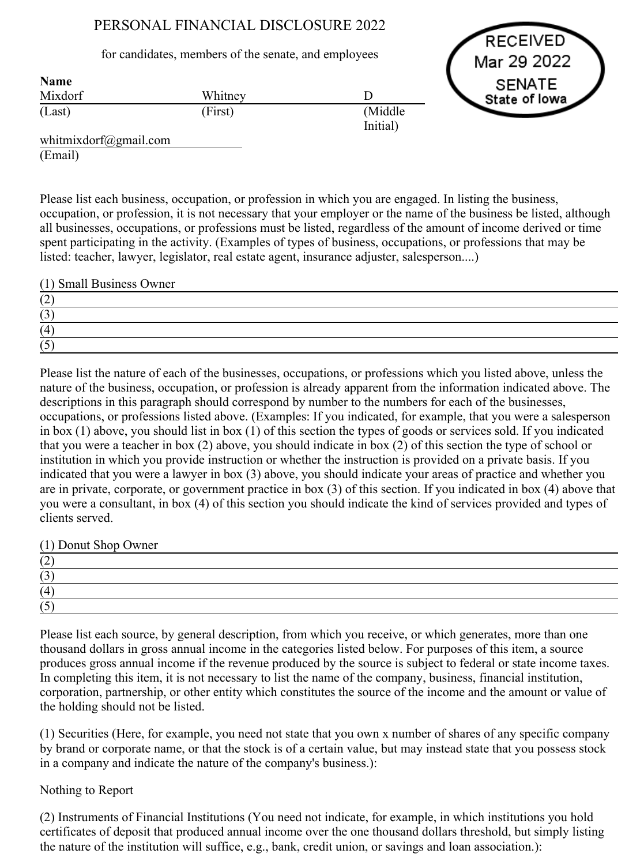# PERSONAL FINANCIAL DISCLOSURE 2022

## for candidates, members of the senate, and employees

RECEIVED Mar 29 2022 SENATE State of lowa

| <b>Name</b> |         |                      |
|-------------|---------|----------------------|
| Mixdorf     | Whitney |                      |
| (Last)      | (First) | (Middle)<br>Initial) |

whitmixdorf@gmail.com (Email)

Name

Please list each business, occupation, or profession in which you are engaged. In listing the business, occupation, or profession, it is not necessary that your employer or the name of the business be listed, although all businesses, occupations, or professions must be listed, regardless of the amount of income derived or time spent participating in the activity. (Examples of types of business, occupations, or professions that may be listed: teacher, lawyer, legislator, real estate agent, insurance adjuster, salesperson....)

(1) Small Business Owner

Please list the nature of each of the businesses, occupations, or professions which you listed above, unless the nature of the business, occupation, or profession is already apparent from the information indicated above. The descriptions in this paragraph should correspond by number to the numbers for each of the businesses, occupations, or professions listed above. (Examples: If you indicated, for example, that you were a salesperson in box (1) above, you should list in box (1) of this section the types of goods or services sold. If you indicated that you were a teacher in box (2) above, you should indicate in box (2) of this section the type of school or institution in which you provide instruction or whether the instruction is provided on a private basis. If you indicated that you were a lawyer in box (3) above, you should indicate your areas of practice and whether you are in private, corporate, or government practice in box (3) of this section. If you indicated in box (4) above that you were a consultant, in box (4) of this section you should indicate the kind of services provided and types of clients served.

(1) Donut Shop Owner

| ╺             |  |  |
|---------------|--|--|
| $\sim$<br>ັບ  |  |  |
| (4)           |  |  |
| $\rightarrow$ |  |  |

Please list each source, by general description, from which you receive, or which generates, more than one thousand dollars in gross annual income in the categories listed below. For purposes of this item, a source produces gross annual income if the revenue produced by the source is subject to federal or state income taxes. In completing this item, it is not necessary to list the name of the company, business, financial institution, corporation, partnership, or other entity which constitutes the source of the income and the amount or value of the holding should not be listed.

(1) Securities (Here, for example, you need not state that you own x number of shares of any specific company by brand or corporate name, or that the stock is of a certain value, but may instead state that you possess stock in a company and indicate the nature of the company's business.):

## Nothing to Report

(2) Instruments of Financial Institutions (You need not indicate, for example, in which institutions you hold certificates of deposit that produced annual income over the one thousand dollars threshold, but simply listing the nature of the institution will suffice, e.g., bank, credit union, or savings and loan association.):